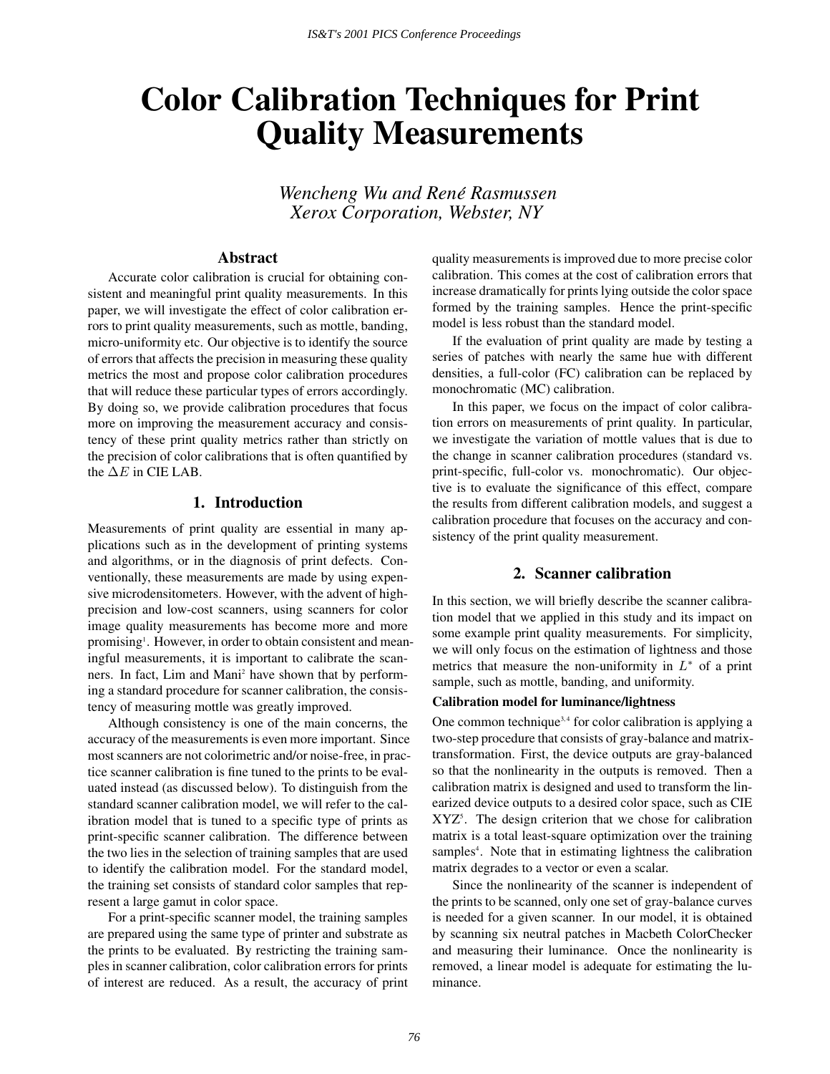# **Color Calibration Techniques for Print Quality Measurements**

*Wencheng Wu and Rene Rasmussen ´ Xerox Corporation, Webster, NY*

# **Abstract**

Accurate color calibration is crucial for obtaining consistent and meaningful print quality measurements. In this paper, we will investigate the effect of color calibration errors to print quality measurements, such as mottle, banding, micro-uniformity etc. Our objective is to identify the source of errors that affects the precision in measuring these quality metrics the most and propose color calibration procedures that will reduce these particular types of errors accordingly. By doing so, we provide calibration procedures that focus more on improving the measurement accuracy and consistency of these print quality metrics rather than strictly on the precision of color calibrations that is often quantified by the  $\Delta E$  in CIE LAB.

# **1. Introduction**

Measurements of print quality are essential in many applications such as in the development of printing systems and algorithms, or in the diagnosis of print defects. Conventionally, these measurements are made by using expensive microdensitometers. However, with the advent of highprecision and low-cost scanners, using scanners for color image quality measurements has become more and more promising<sup>1</sup>. However, in order to obtain consistent and meaningful measurements, it is important to calibrate the scanners. In fact, Lim and Mani<sup>2</sup> have shown that by performing a standard procedure for scanner calibration, the consistency of measuring mottle was greatly improved.

Although consistency is one of the main concerns, the accuracy of the measurements is even more important. Since most scanners are not colorimetric and/or noise-free, in practice scanner calibration is fine tuned to the prints to be evaluated instead (as discussed below). To distinguish from the standard scanner calibration model, we will refer to the calibration model that is tuned to a specific type of prints as print-specific scanner calibration. The difference between the two lies in the selection of training samples that are used to identify the calibration model. For the standard model, the training set consists of standard color samples that represent a large gamut in color space.

For a print-specific scanner model, the training samples are prepared using the same type of printer and substrate as the prints to be evaluated. By restricting the training samples in scanner calibration, color calibration errors for prints of interest are reduced. As a result, the accuracy of print quality measurements is improved due to more precise color calibration. This comes at the cost of calibration errors that increase dramatically for prints lying outside the color space formed by the training samples. Hence the print-specific model is less robust than the standard model.

If the evaluation of print quality are made by testing a series of patches with nearly the same hue with different densities, a full-color (FC) calibration can be replaced by monochromatic (MC) calibration.

In this paper, we focus on the impact of color calibration errors on measurements of print quality. In particular, we investigate the variation of mottle values that is due to the change in scanner calibration procedures (standard vs. print-specific, full-color vs. monochromatic). Our objective is to evaluate the significance of this effect, compare the results from different calibration models, and suggest a calibration procedure that focuses on the accuracy and consistency of the print quality measurement.

# **2. Scanner calibration**

In this section, we will briefly describe the scanner calibration model that we applied in this study and its impact on some example print quality measurements. For simplicity, we will only focus on the estimation of lightness and those metrics that measure the non-uniformity in  $L^*$  of a print sample, such as mottle, banding, and uniformity.

#### **Calibration model for luminance/lightness**

One common technique<sup>3,4</sup> for color calibration is applying a two-step procedure that consists of gray-balance and matrixtransformation. First, the device outputs are gray-balanced so that the nonlinearity in the outputs is removed. Then a calibration matrix is designed and used to transform the linearized device outputs to a desired color space, such as CIE XYZ5 . The design criterion that we chose for calibration matrix is a total least-square optimization over the training samples<sup>4</sup>. Note that in estimating lightness the calibration matrix degrades to a vector or even a scalar.

Since the nonlinearity of the scanner is independent of the prints to be scanned, only one set of gray-balance curves is needed for a given scanner. In our model, it is obtained by scanning six neutral patches in Macbeth ColorChecker and measuring their luminance. Once the nonlinearity is removed, a linear model is adequate for estimating the luminance.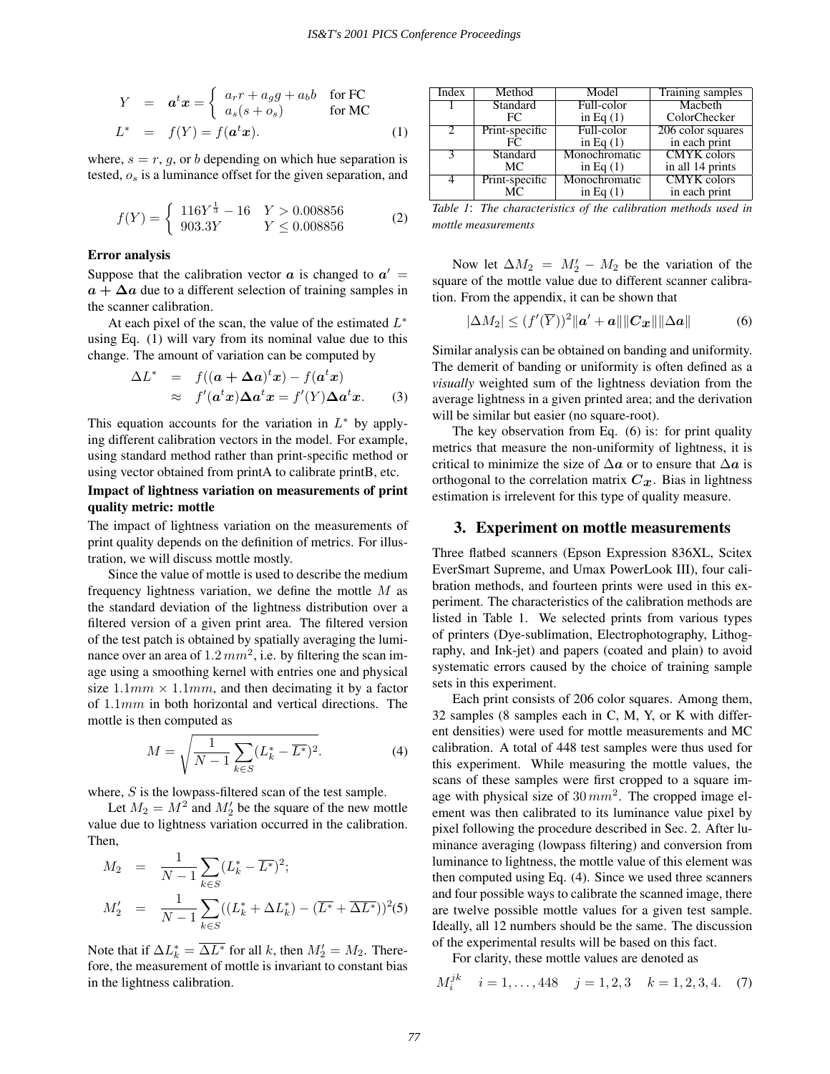$$
Y = \boldsymbol{a}^t \boldsymbol{x} = \begin{cases} a_r r + a_g g + a_b b & \text{for FC} \\ a_s (s + o_s) & \text{for MC} \end{cases}
$$
  

$$
L^* = f(Y) = f(\boldsymbol{a}^t \boldsymbol{x}).
$$
 (1)

where,  $s = r, g$ , or b depending on which hue separation is tested, <sup>o</sup>*s* is a luminance offset for the given separation, and

$$
f(Y) = \begin{cases} 116Y^{\frac{1}{3}} - 16 & Y > 0.008856 \\ 903.3Y & Y \le 0.008856 \end{cases}
$$
 (2)

### **Error analysis**

Suppose that the calibration vector  $\boldsymbol{a}$  is changed to  $\boldsymbol{a}' =$  $a + \Delta a$  due to a different selection of training samples in the scanner calibration.

At each pixel of the scan, the value of the estimated  $L^*$ using Eq. (1) will vary from its nominal value due to this change. The amount of variation can be computed by

$$
\Delta L^* = f((\mathbf{a} + \Delta \mathbf{a})^t \mathbf{x}) - f(\mathbf{a}^t \mathbf{x})
$$
  
\n
$$
\approx f'(\mathbf{a}^t \mathbf{x}) \Delta \mathbf{a}^t \mathbf{x} = f'(Y) \Delta \mathbf{a}^t \mathbf{x}.
$$
 (3)

This equation accounts for the variation in  $L^*$  by applying different calibration vectors in the model. For example, using standard method rather than print-specific method or using vector obtained from printA to calibrate printB, etc.

## **Impact of lightness variation on measurements of print quality metric: mottle**

The impact of lightness variation on the measurements of print quality depends on the definition of metrics. For illustration, we will discuss mottle mostly.

Since the value of mottle is used to describe the medium frequency lightness variation, we define the mottle  $M$  as the standard deviation of the lightness distribution over a filtered version of a given print area. The filtered version of the test patch is obtained by spatially averaging the luminance over an area of  $1.2 \, mm^2$ , i.e. by filtering the scan image using a smoothing kernel with entries one and physical size  $1.1mm \times 1.1mm$ , and then decimating it by a factor of <sup>1</sup>.1mm in both horizontal and vertical directions. The mottle is then computed as

$$
M = \sqrt{\frac{1}{N-1} \sum_{k \in S} (L_k^* - \overline{L^*})^2}.
$$
 (4)

where,  $S$  is the lowpass-filtered scan of the test sample.

Let  $M_2 = M^2$  and  $M_2'$  be the square of the new mottle<br>le due to lightness variation occurred in the calibration value due to lightness variation occurred in the calibration. Then,

$$
M_2 = \frac{1}{N-1} \sum_{k \in S} (L_k^* - \overline{L^*})^2;
$$
  

$$
M_2' = \frac{1}{N-1} \sum_{k \in S} ((L_k^* + \Delta L_k^*) - (\overline{L^*} + \overline{\Delta L^*}))^2 (5)
$$

Note that if  $\Delta L_k^* = \overline{\Delta L^*}$  for all k, then  $M_2' = M_2$ . There-<br>fore the measurement of mottle is invariant to constant hiss fore, the measurement of mottle is invariant to constant bias in the lightness calibration.

| Index                       | Method         | Model         | Training samples   |  |
|-----------------------------|----------------|---------------|--------------------|--|
|                             | Standard       | Full-color    | Macbeth            |  |
|                             | FC             | in Eq $(1)$   | ColorChecker       |  |
| $\mathcal{D}_{\mathcal{L}}$ | Print-specific | Full-color    | 206 color squares  |  |
|                             | FC.            | in Eq $(1)$   | in each print      |  |
|                             | Standard       | Monochromatic | <b>CMYK</b> colors |  |
|                             | MC.            | in Eq $(1)$   | in all 14 prints   |  |
|                             | Print-specific | Monochromatic | <b>CMYK</b> colors |  |
|                             | MC.            | in Eq $(1)$   | in each print      |  |

*Table 1*: *The characteristics of the calibration methods used in mottle measurements*

Now let  $\Delta M_2 = M_2' - M_2$  be the variation of the variation of the mottle value due to different scanner calibrasquare of the mottle value due to different scanner calibration. From the appendix, it can be shown that

$$
|\Delta M_2| \le (f'(\overline{Y}))^2 ||\mathbf{a}' + \mathbf{a}|| ||\mathbf{C}_{\mathbf{x}}|| ||\Delta \mathbf{a}|| \tag{6}
$$

Similar analysis can be obtained on banding and uniformity. The demerit of banding or uniformity is often defined as a *visually* weighted sum of the lightness deviation from the average lightness in a given printed area; and the derivation will be similar but easier (no square-root).

The key observation from Eq. (6) is: for print quality metrics that measure the non-uniformity of lightness, it is critical to minimize the size of ∆*a* or to ensure that ∆*a* is orthogonal to the correlation matrix  $C_x$ . Bias in lightness estimation is irrelevent for this type of quality measure.

## **3. Experiment on mottle measurements**

Three flatbed scanners (Epson Expression 836XL, Scitex EverSmart Supreme, and Umax PowerLook III), four calibration methods, and fourteen prints were used in this experiment. The characteristics of the calibration methods are listed in Table 1. We selected prints from various types of printers (Dye-sublimation, Electrophotography, Lithography, and Ink-jet) and papers (coated and plain) to avoid systematic errors caused by the choice of training sample sets in this experiment.

Each print consists of 206 color squares. Among them, 32 samples (8 samples each in C, M, Y, or K with different densities) were used for mottle measurements and MC calibration. A total of 448 test samples were thus used for this experiment. While measuring the mottle values, the scans of these samples were first cropped to a square image with physical size of  $30 \, mm^2$ . The cropped image element was then calibrated to its luminance value pixel by pixel following the procedure described in Sec. 2. After luminance averaging (lowpass filtering) and conversion from luminance to lightness, the mottle value of this element was then computed using Eq. (4). Since we used three scanners and four possible ways to calibrate the scanned image, there are twelve possible mottle values for a given test sample. Ideally, all 12 numbers should be the same. The discussion of the experimental results will be based on this fact.

For clarity, these mottle values are denoted as

$$
M_i^{jk} \quad i = 1, \dots, 448 \quad j = 1, 2, 3 \quad k = 1, 2, 3, 4. \tag{7}
$$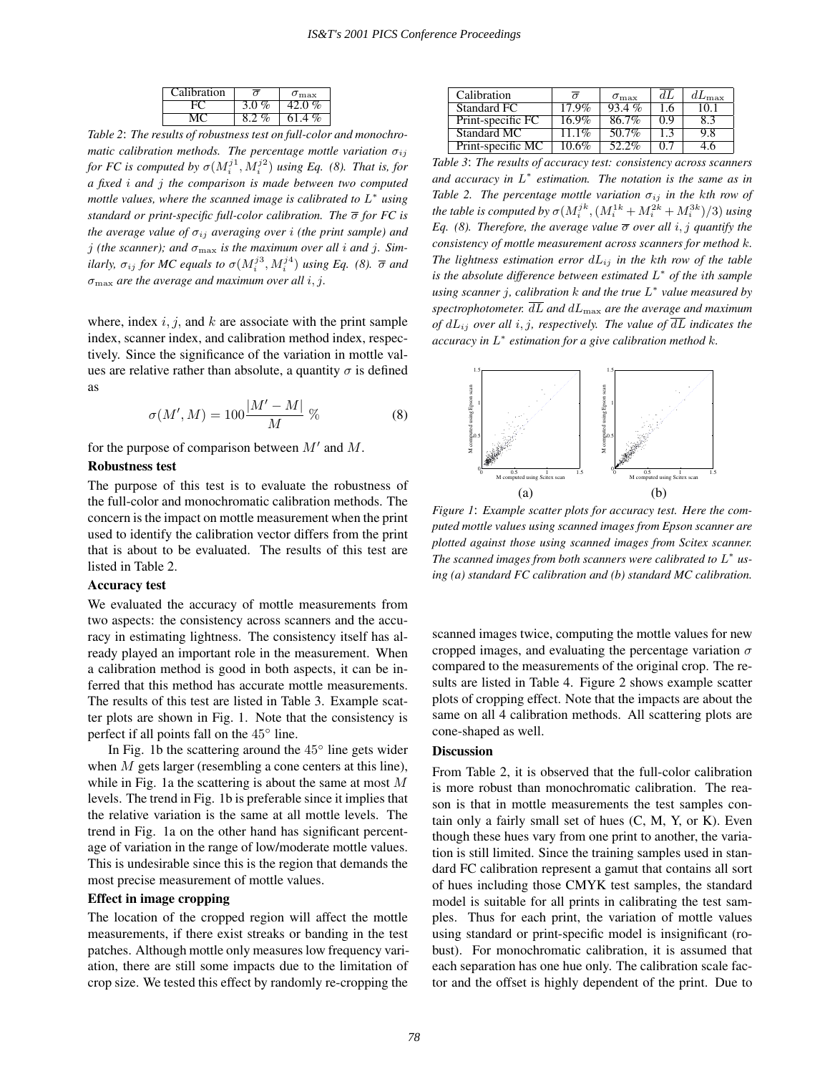| Calibration | ◠             | $\sigma_{\rm max}$ |  |
|-------------|---------------|--------------------|--|
|             | 3.0%          | 42.0%              |  |
|             | $\frac{v}{c}$ | $\%$<br>614        |  |

*Table 2*: *The results of robustness test on full-color and monochromatic calibration methods. The percentage mottle variation*  $\sigma_{ij}$ *for FC is computed by*  $\sigma(M_i^{j1}, M_i^{j2})$  *using Eq.* (8). That is, for *a fixed* i *and* j *the comparison is made between two computed mottle values, where the scanned image is calibrated to* L<sup>∗</sup> *using standard or print-specific full-color calibration. The* σ *for FC is the average value of*  $\sigma_{ij}$  *averaging over i (the print sample) and j* (the scanner); and  $\sigma_{\text{max}}$  is the maximum over all *i* and *j*. Sim*ilarly,*  $\sigma_{ij}$  *for MC equals to*  $\sigma(M_i^{j3}, M_i^{j4})$  *using Eq.* (8).  $\bar{\sigma}$  *and*  $\sigma_{\text{max}}$  *are the average and maximum over all i, j.* 

where, index  $i, j$ , and  $k$  are associate with the print sample index, scanner index, and calibration method index, respectively. Since the significance of the variation in mottle values are relative rather than absolute, a quantity  $\sigma$  is defined as

$$
\sigma(M', M) = 100 \frac{|M' - M|}{M} \,\%
$$
\n(8)

for the purpose of comparison between  $M'$  and  $M$ .

## **Robustness test**

The purpose of this test is to evaluate the robustness of the full-color and monochromatic calibration methods. The concern is the impact on mottle measurement when the print used to identify the calibration vector differs from the print that is about to be evaluated. The results of this test are listed in Table 2.

#### **Accuracy test**

We evaluated the accuracy of mottle measurements from two aspects: the consistency across scanners and the accuracy in estimating lightness. The consistency itself has already played an important role in the measurement. When a calibration method is good in both aspects, it can be inferred that this method has accurate mottle measurements. The results of this test are listed in Table 3. Example scatter plots are shown in Fig. 1. Note that the consistency is perfect if all points fall on the 45<sup>°</sup> line.

In Fig. 1b the scattering around the  $45^\circ$  line gets wider when  $M$  gets larger (resembling a cone centers at this line), while in Fig. 1a the scattering is about the same at most  $M$ levels. The trend in Fig. 1b is preferable since it implies that the relative variation is the same at all mottle levels. The trend in Fig. 1a on the other hand has significant percentage of variation in the range of low/moderate mottle values. This is undesirable since this is the region that demands the most precise measurement of mottle values.

#### **Effect in image cropping**

The location of the cropped region will affect the mottle measurements, if there exist streaks or banding in the test patches. Although mottle only measures low frequency variation, there are still some impacts due to the limitation of crop size. We tested this effect by randomly re-cropping the

| Calibration       |          | $\sigma_{\rm max}$ | dI   | $dL_{\rm max}$ |
|-------------------|----------|--------------------|------|----------------|
| Standard FC       | $17.9\%$ | $93.4\%$           |      |                |
| Print-specific FC | 16.9%    | 86.7%              | () Y | ×.∹            |
| Standard MC       | $1.1\%$  | 50.7%              |      | 9.8            |
| Print-specific MC | 10.6%    | 52.2%              |      |                |

*Table 3*: *The results of accuracy test: consistency across scanners and accuracy in* L<sup>∗</sup> *estimation. The notation is the same as in Table 2. The percentage mottle variation*  $\sigma_{ij}$  *in the kth row of the table is computed by*  $\sigma(M^{jk}_{i}, (M^{1k}_{i} + M^{2k}_{i} + M^{3k}_{i})/3)$  *using Eq. (8). Therefore, the average value*  $\overline{\sigma}$  *over all i, j quantify the consistency of mottle measurement across scanners for method* k*. The lightness estimation error* dL*ij in the* k*th row of the table is the absolute difference between estimated* L<sup>∗</sup> *of the* i*th sample using scanner* j*, calibration* k *and the true* L<sup>∗</sup> *value measured by spectrophotometer.*  $\overline{dL}$  *and*  $dL_{\text{max}}$  *are the average and maximum of*  $dL_{ij}$  *over all i, j, respectively. The value of*  $\overline{dL}$  *indicates the accuracy in* L<sup>∗</sup> *estimation for a give calibration method* k*.*



*Figure 1*: *Example scatter plots for accuracy test. Here the computed mottle values using scanned images from Epson scanner are plotted against those using scanned images from Scitex scanner. The scanned images from both scanners were calibrated to* L<sup>∗</sup> *using (a) standard FC calibration and (b) standard MC calibration.*

scanned images twice, computing the mottle values for new cropped images, and evaluating the percentage variation  $\sigma$ compared to the measurements of the original crop. The results are listed in Table 4. Figure 2 shows example scatter plots of cropping effect. Note that the impacts are about the same on all 4 calibration methods. All scattering plots are cone-shaped as well.

#### **Discussion**

From Table 2, it is observed that the full-color calibration is more robust than monochromatic calibration. The reason is that in mottle measurements the test samples contain only a fairly small set of hues (C, M, Y, or K). Even though these hues vary from one print to another, the variation is still limited. Since the training samples used in standard FC calibration represent a gamut that contains all sort of hues including those CMYK test samples, the standard model is suitable for all prints in calibrating the test samples. Thus for each print, the variation of mottle values using standard or print-specific model is insignificant (robust). For monochromatic calibration, it is assumed that each separation has one hue only. The calibration scale factor and the offset is highly dependent of the print. Due to